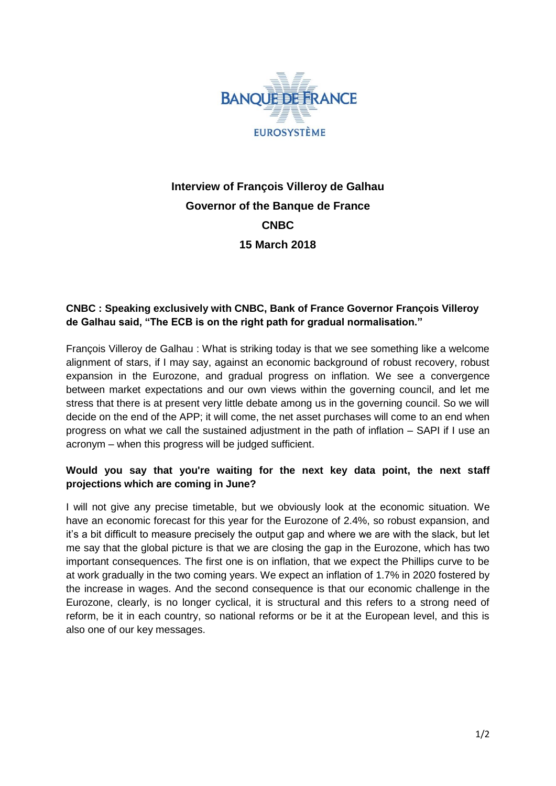

# **Interview of François Villeroy de Galhau Governor of the Banque de France CNBC 15 March 2018**

## **CNBC : Speaking exclusively with CNBC, Bank of France Governor François Villeroy de Galhau said, "The ECB is on the right path for gradual normalisation."**

François Villeroy de Galhau : What is striking today is that we see something like a welcome alignment of stars, if I may say, against an economic background of robust recovery, robust expansion in the Eurozone, and gradual progress on inflation. We see a convergence between market expectations and our own views within the governing council, and let me stress that there is at present very little debate among us in the governing council. So we will decide on the end of the APP; it will come, the net asset purchases will come to an end when progress on what we call the sustained adjustment in the path of inflation – SAPI if I use an acronym – when this progress will be judged sufficient.

### **Would you say that you're waiting for the next key data point, the next staff projections which are coming in June?**

I will not give any precise timetable, but we obviously look at the economic situation. We have an economic forecast for this year for the Eurozone of 2.4%, so robust expansion, and it's a bit difficult to measure precisely the output gap and where we are with the slack, but let me say that the global picture is that we are closing the gap in the Eurozone, which has two important consequences. The first one is on inflation, that we expect the Phillips curve to be at work gradually in the two coming years. We expect an inflation of 1.7% in 2020 fostered by the increase in wages. And the second consequence is that our economic challenge in the Eurozone, clearly, is no longer cyclical, it is structural and this refers to a strong need of reform, be it in each country, so national reforms or be it at the European level, and this is also one of our key messages.